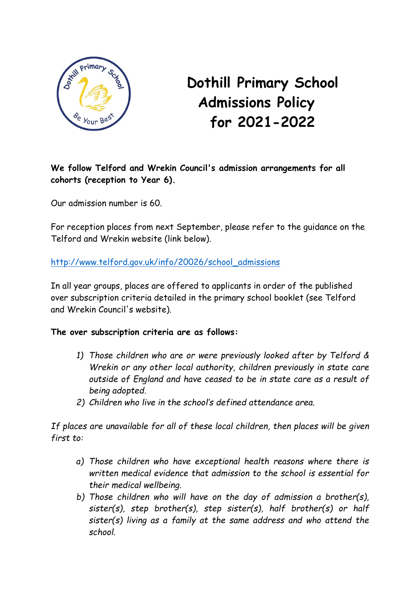

## **Dothill Primary School Admissions Policy for 2021-2022**

**We follow Telford and Wrekin Council's admission arrangements for all cohorts (reception to Year 6).**

Our admission number is 60.

For reception places from next September, please refer to the guidance on the Telford and Wrekin website (link below).

[http://www.telford.gov.uk/info/20026/school\\_admissions](http://www.telford.gov.uk/info/20026/school_admissions)

In all year groups, places are offered to applicants in order of the published over subscription criteria detailed in the primary school booklet (see Telford and Wrekin Council's website).

## **The over subscription criteria are as follows:**

- *1) Those children who are or were previously looked after by Telford & Wrekin or any other local authority, children previously in state care outside of England and have ceased to be in state care as a result of being adopted.*
- *2) Children who live in the school's defined attendance area.*

*If places are unavailable for all of these local children, then places will be given first to:*

- *a) Those children who have exceptional health reasons where there is written medical evidence that admission to the school is essential for their medical wellbeing.*
- *b) Those children who will have on the day of admission a brother(s), sister(s), step brother(s), step sister(s), half brother(s) or half sister(s) living as a family at the same address and who attend the school.*